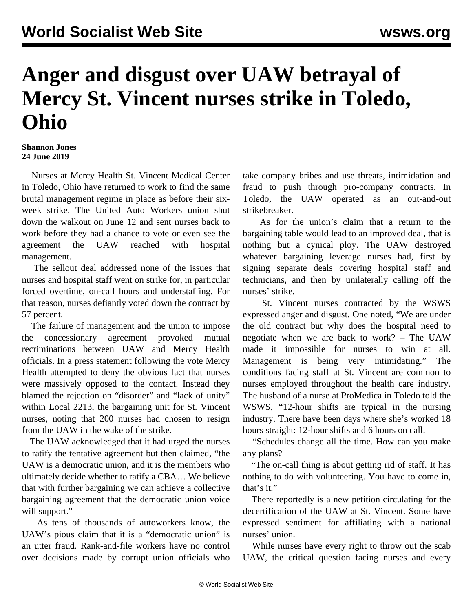## **Anger and disgust over UAW betrayal of Mercy St. Vincent nurses strike in Toledo, Ohio**

## **Shannon Jones 24 June 2019**

 Nurses at Mercy Health St. Vincent Medical Center in Toledo, Ohio have returned to work to find the same brutal management regime in place as before their sixweek strike. The United Auto Workers union shut down the walkout on June 12 and sent nurses back to work before they had a chance to vote or even see the agreement the UAW reached with hospital management.

 The sellout deal addressed none of the issues that nurses and hospital staff went on strike for, in particular forced overtime, on-call hours and understaffing. For that reason, nurses defiantly voted down the contract by 57 percent.

 The failure of management and the union to impose the concessionary agreement provoked mutual recriminations between UAW and Mercy Health officials. In a press statement following the vote Mercy Health attempted to deny the obvious fact that nurses were massively opposed to the contact. Instead they blamed the rejection on "disorder" and "lack of unity" within Local 2213, the bargaining unit for St. Vincent nurses, noting that 200 nurses had chosen to resign from the UAW in the wake of the strike.

 The UAW acknowledged that it had urged the nurses to ratify the tentative agreement but then claimed, "the UAW is a democratic union, and it is the members who ultimately decide whether to ratify a CBA… We believe that with further bargaining we can achieve a collective bargaining agreement that the democratic union voice will support."

 As tens of thousands of autoworkers know, the UAW's pious claim that it is a "democratic union" is an utter fraud. Rank-and-file workers have no control over decisions made by corrupt union officials who take company bribes and use threats, intimidation and fraud to push through pro-company contracts. In Toledo, the UAW operated as an out-and-out strikebreaker.

 As for the union's claim that a return to the bargaining table would lead to an improved deal, that is nothing but a cynical ploy. The UAW destroyed whatever bargaining leverage nurses had, first by signing separate deals covering hospital staff and technicians, and then by unilaterally calling off the nurses' strike.

 St. Vincent nurses contracted by the WSWS expressed anger and disgust. One noted, "We are under the old contract but why does the hospital need to negotiate when we are back to work? – The UAW made it impossible for nurses to win at all. Management is being very intimidating." The conditions facing staff at St. Vincent are common to nurses employed throughout the health care industry. The husband of a nurse at ProMedica in Toledo told the WSWS, "12-hour shifts are typical in the nursing industry. There have been days where she's worked 18 hours straight: 12-hour shifts and 6 hours on call.

 "Schedules change all the time. How can you make any plans?

 "The on-call thing is about getting rid of staff. It has nothing to do with volunteering. You have to come in, that's it."

 There reportedly is a new petition circulating for the decertification of the UAW at St. Vincent. Some have expressed sentiment for affiliating with a national nurses' union.

 While nurses have every right to throw out the scab UAW, the critical question facing nurses and every